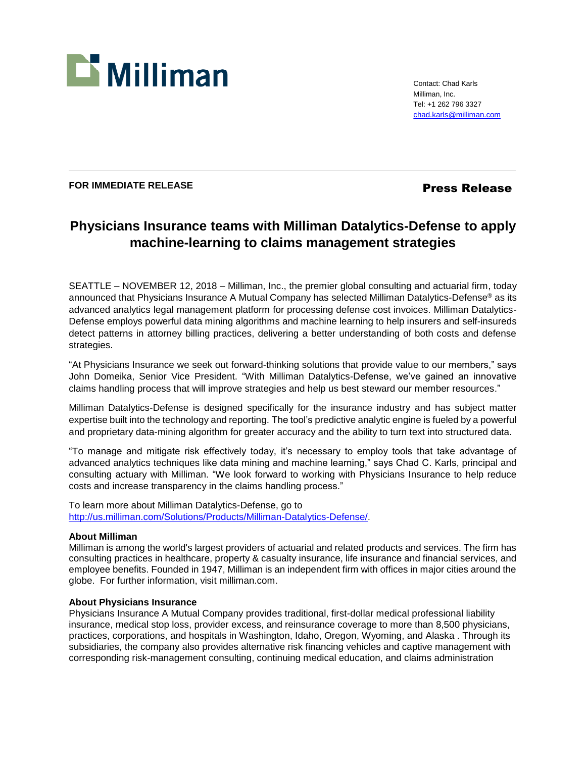

Contact: Chad Karls Milliman, Inc. Tel: +1 262 796 3327 [chad.karls@milliman.com](mailto:chad.karls@milliman.com)

## **FOR IMMEDIATE RELEASE Press Release**

# **Physicians Insurance teams with Milliman Datalytics-Defense to apply machine-learning to claims management strategies**

SEATTLE – NOVEMBER 12, 2018 – Milliman, Inc., the premier global consulting and actuarial firm, today announced that Physicians Insurance A Mutual Company has selected Milliman Datalytics-Defense® as its advanced analytics legal management platform for processing defense cost invoices. Milliman Datalytics-Defense employs powerful data mining algorithms and machine learning to help insurers and self-insureds detect patterns in attorney billing practices, delivering a better understanding of both costs and defense strategies.

"At Physicians Insurance we seek out forward-thinking solutions that provide value to our members," says John Domeika, Senior Vice President. "With Milliman Datalytics-Defense, we've gained an innovative claims handling process that will improve strategies and help us best steward our member resources."

Milliman Datalytics-Defense is designed specifically for the insurance industry and has subject matter expertise built into the technology and reporting. The tool's predictive analytic engine is fueled by a powerful and proprietary data-mining algorithm for greater accuracy and the ability to turn text into structured data.

"To manage and mitigate risk effectively today, it's necessary to employ tools that take advantage of advanced analytics techniques like data mining and machine learning," says Chad C. Karls, principal and consulting actuary with Milliman. "We look forward to working with Physicians Insurance to help reduce costs and increase transparency in the claims handling process."

To learn more about Milliman Datalytics-Defense, go to [http://us.milliman.com/Solutions/Products/Milliman-Datalytics-Defense/.](http://us.milliman.com/Solutions/Products/Milliman-Datalytics-Defense/)

## **About Milliman**

Milliman is among the world's largest providers of actuarial and related products and services. The firm has consulting practices in healthcare, property & casualty insurance, life insurance and financial services, and employee benefits. Founded in 1947, Milliman is an independent firm with offices in major cities around the globe. For further information, visit milliman.com.

### **About Physicians Insurance**

Physicians Insurance A Mutual Company provides traditional, first-dollar medical professional liability insurance, medical stop loss, provider excess, and reinsurance coverage to more than 8,500 physicians, practices, corporations, and hospitals in Washington, Idaho, Oregon, Wyoming, and Alaska . Through its subsidiaries, the company also provides alternative risk financing vehicles and captive management with corresponding risk-management consulting, continuing medical education, and claims administration